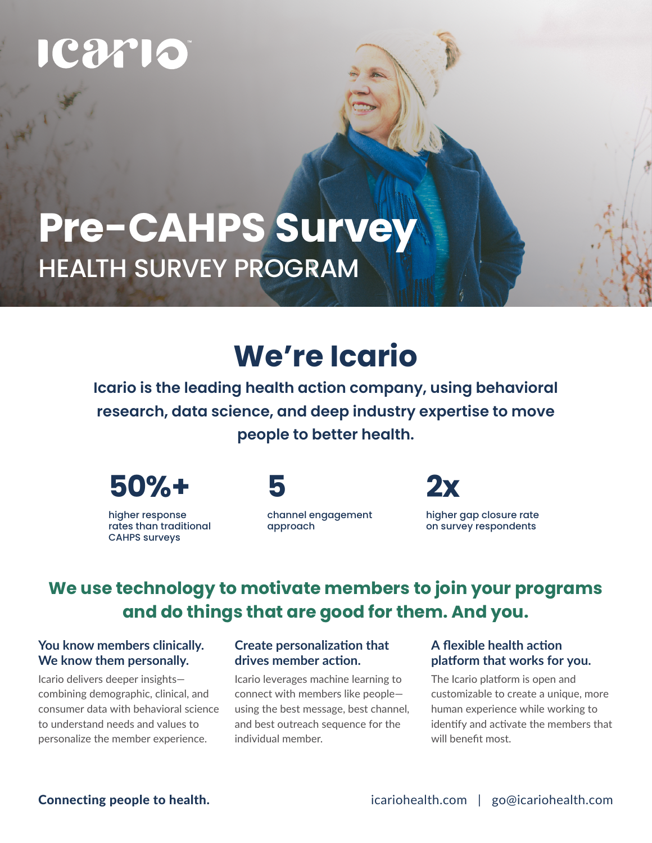# 29710

## **Pre-CAHPS Survey** HEALTH SURVEY PROGRAM

## **We're Icario**

**Icario is the leading health action company, using behavioral research, data science, and deep industry expertise to move people to better health.**



higher response rates than traditional CAHPS surveys



channel engagement approach



higher gap closure rate on survey respondents

## **We use technology to motivate members to join your programs and do things that are good for them. And you.**

#### **You know members clinically. We know them personally.**

Icario delivers deeper insights combining demographic, clinical, and consumer data with behavioral science to understand needs and values to personalize the member experience.

#### **Create personalization that drives member action.**

Icario leverages machine learning to connect with members like people using the best message, best channel, and best outreach sequence for the individual member.

#### **A flexible health action platform that works for you.**

The Icario platform is open and customizable to create a unique, more human experience while working to identify and activate the members that will benefit most.